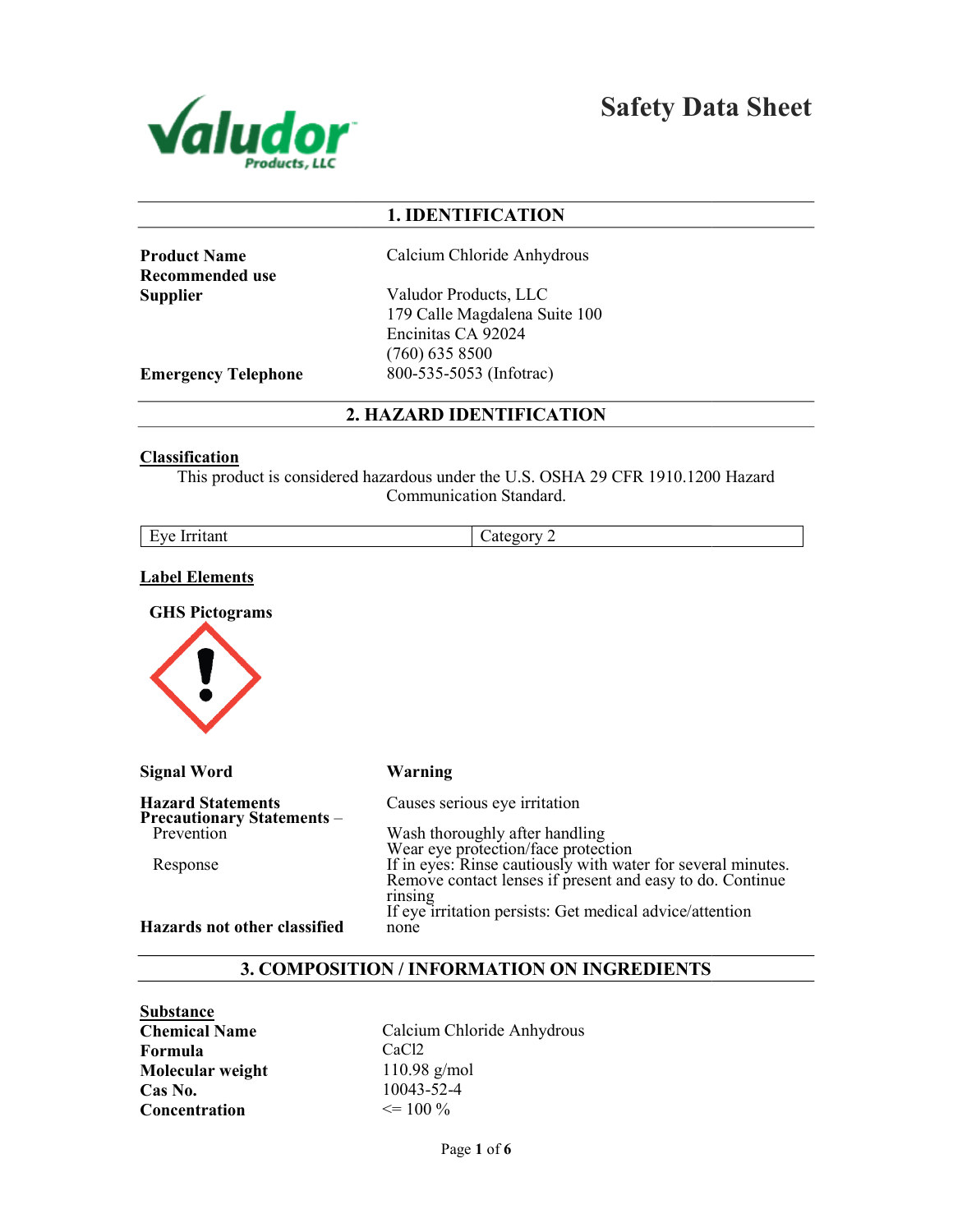

Safety Data Sheet

# 1. IDENTIFICATION

Product Name Recommended use **Supplier** 

Calcium Chloride Anhydrous

Valudor Products, LLC 179 Calle Magdalena Suite 100 Encinitas CA 92024 (760) 635 8500 800-535-5053 (Infotrac)

Emergency Telephone

2. HAZARD IDENTIFICATION

#### **Classification**

This product is considered hazardous under the U.S. OSHA 29 CFR 1910.1200 Hazard Communication Standard.

## Label Elements

GHS Pictograms



| <b>Warning</b>                                                                                      |
|-----------------------------------------------------------------------------------------------------|
| Causes serious eye irritation                                                                       |
| Wash thoroughly after handling                                                                      |
| Wear eye protection/face protection<br>If in eyes: Rinse cautiously with water for several minutes. |
|                                                                                                     |
| Remove contact lenses if present and easy to do. Continue                                           |
| rinsing                                                                                             |
| If eye irritation persists: Get medical advice/attention<br>none                                    |
|                                                                                                     |

# 3. COMPOSITION / INFORMATION ON INGREDIENTS

**Substance** Chemical Name Formula Molecular weight Cas No. **Concentration** 

Calcium Chloride Anhydrous CaCl2 110.98 g/mol 10043-52-4  $\leq$  100 %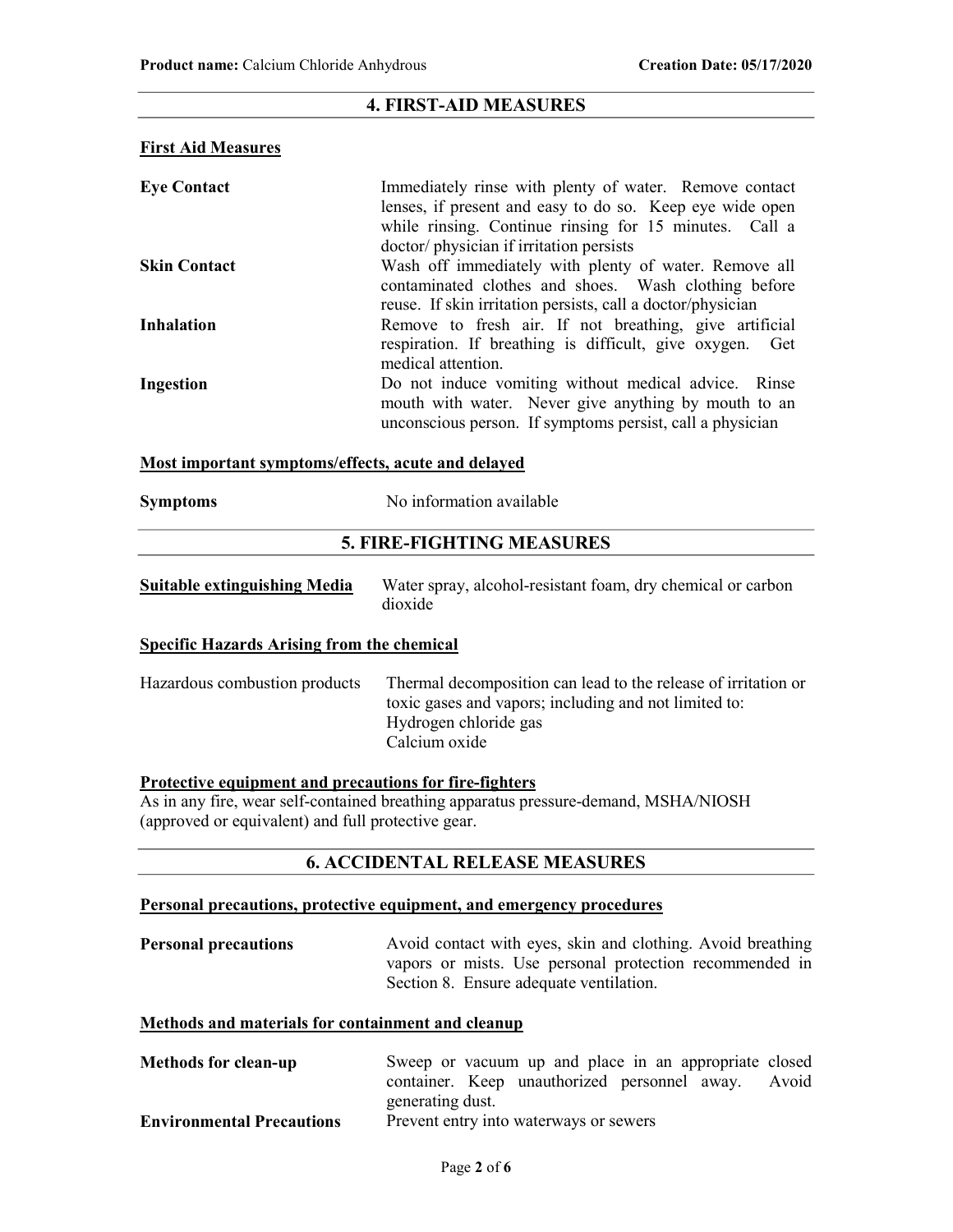# 4. FIRST-AID MEASURES

#### First Aid Measures

| <b>Eye Contact</b>  | Immediately rinse with plenty of water. Remove contact      |
|---------------------|-------------------------------------------------------------|
|                     | lenses, if present and easy to do so. Keep eye wide open    |
|                     | while rinsing. Continue rinsing for 15 minutes. Call a      |
|                     | doctor/physician if irritation persists                     |
| <b>Skin Contact</b> | Wash off immediately with plenty of water. Remove all       |
|                     | contaminated clothes and shoes. Wash clothing before        |
|                     | reuse. If skin irritation persists, call a doctor/physician |
| <b>Inhalation</b>   | Remove to fresh air. If not breathing, give artificial      |
|                     | respiration. If breathing is difficult, give oxygen. Get    |
|                     | medical attention.                                          |
| Ingestion           | Do not induce vomiting without medical advice. Rinse        |
|                     | mouth with water. Never give anything by mouth to an        |
|                     | unconscious person. If symptoms persist, call a physician   |

#### Most important symptoms/effects, acute and delayed

| <b>Symptoms</b> |  |  |
|-----------------|--|--|
|                 |  |  |

Symptoms No information available

# 5. FIRE-FIGHTING MEASURES

| <b>Suitable extinguishing Media</b> | Water spray, alcohol-resistant foam, dry chemical or carbon |
|-------------------------------------|-------------------------------------------------------------|
|                                     | dioxide                                                     |

## Specific Hazards Arising from the chemical

| Hazardous combustion products | Thermal decomposition can lead to the release of irritation or |
|-------------------------------|----------------------------------------------------------------|
|                               | toxic gases and vapors; including and not limited to:          |
|                               | Hydrogen chloride gas                                          |
|                               | Calcium oxide                                                  |

## Protective equipment and precautions for fire-fighters

As in any fire, wear self-contained breathing apparatus pressure-demand, MSHA/NIOSH (approved or equivalent) and full protective gear.

# 6. ACCIDENTAL RELEASE MEASURES

#### Personal precautions, protective equipment, and emergency procedures

**Personal precautions** Avoid contact with eyes, skin and clothing. Avoid breathing vapors or mists. Use personal protection recommended in Section 8. Ensure adequate ventilation.

#### Methods and materials for containment and cleanup

| Sweep or vacuum up and place in an appropriate closed |  |
|-------------------------------------------------------|--|
| container. Keep unauthorized personnel away. Avoid    |  |
| generating dust.                                      |  |
| Prevent entry into waterways or sewers                |  |
|                                                       |  |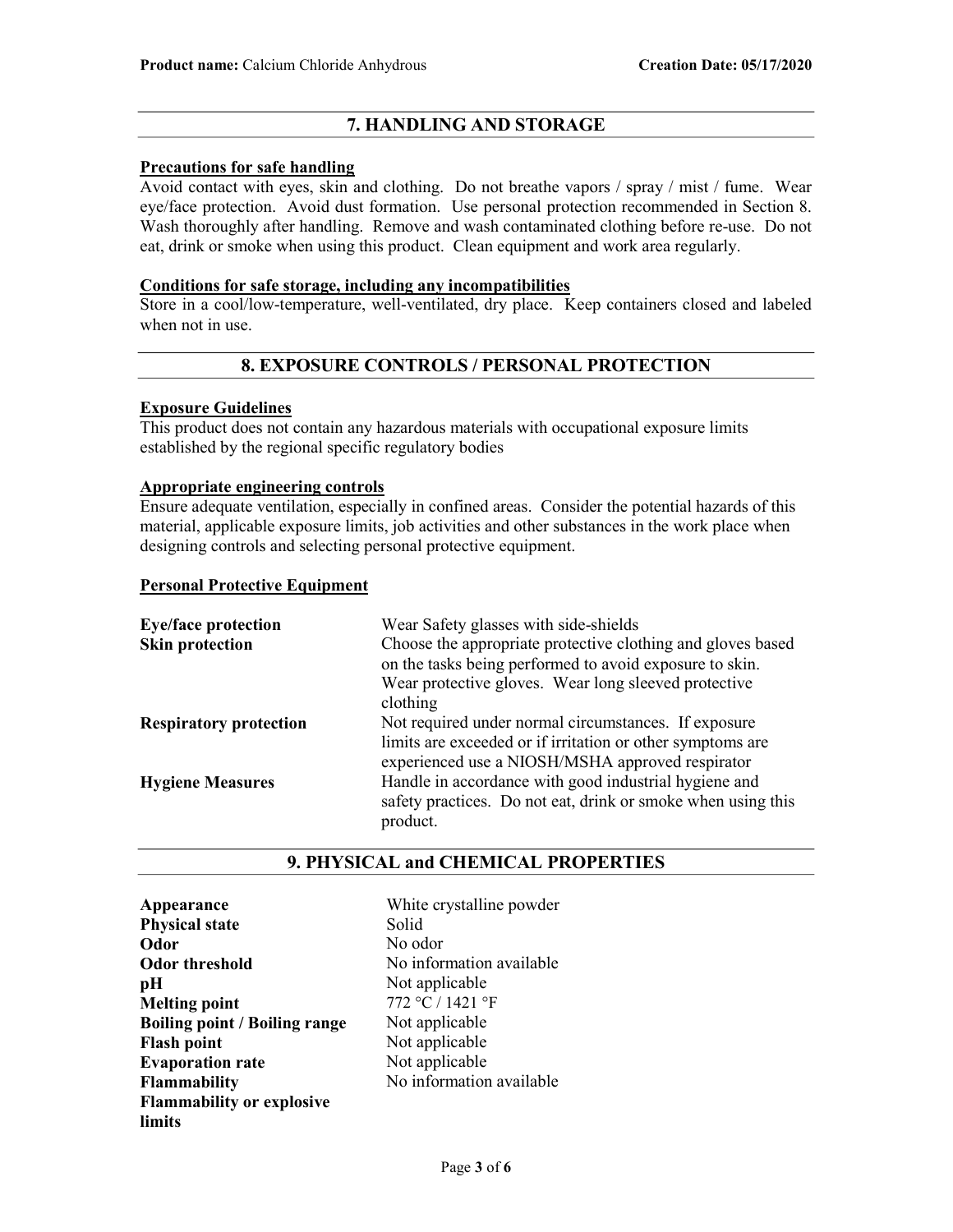# 7. HANDLING AND STORAGE

# Precautions for safe handling

Avoid contact with eyes, skin and clothing. Do not breathe vapors / spray / mist / fume. Wear eye/face protection. Avoid dust formation. Use personal protection recommended in Section 8. Wash thoroughly after handling. Remove and wash contaminated clothing before re-use. Do not eat, drink or smoke when using this product. Clean equipment and work area regularly.

#### Conditions for safe storage, including any incompatibilities

Store in a cool/low-temperature, well-ventilated, dry place. Keep containers closed and labeled when not in use.

# 8. EXPOSURE CONTROLS / PERSONAL PROTECTION

## Exposure Guidelines

This product does not contain any hazardous materials with occupational exposure limits established by the regional specific regulatory bodies

# Appropriate engineering controls

Ensure adequate ventilation, especially in confined areas. Consider the potential hazards of this material, applicable exposure limits, job activities and other substances in the work place when designing controls and selecting personal protective equipment.

## Personal Protective Equipment

| <b>Eye/face protection</b>    | Wear Safety glasses with side-shields                                                                                                                                  |
|-------------------------------|------------------------------------------------------------------------------------------------------------------------------------------------------------------------|
| <b>Skin protection</b>        | Choose the appropriate protective clothing and gloves based<br>on the tasks being performed to avoid exposure to skin.                                                 |
|                               | Wear protective gloves. Wear long sleeved protective<br>clothing                                                                                                       |
| <b>Respiratory protection</b> | Not required under normal circumstances. If exposure<br>limits are exceeded or if irritation or other symptoms are<br>experienced use a NIOSH/MSHA approved respirator |
| <b>Hygiene Measures</b>       | Handle in accordance with good industrial hygiene and<br>safety practices. Do not eat, drink or smoke when using this<br>product.                                      |

# 9. PHYSICAL and CHEMICAL PROPERTIES

|                                      | White crystalline powder |
|--------------------------------------|--------------------------|
| Appearance                           |                          |
| <b>Physical state</b>                | Solid                    |
| Odor                                 | No odor                  |
| Odor threshold                       | No information available |
| pН                                   | Not applicable           |
| <b>Melting point</b>                 | 772 °C / 1421 °F         |
| <b>Boiling point / Boiling range</b> | Not applicable           |
| <b>Flash point</b>                   | Not applicable           |
| <b>Evaporation rate</b>              | Not applicable           |
| Flammability                         | No information available |
| <b>Flammability or explosive</b>     |                          |
| limits                               |                          |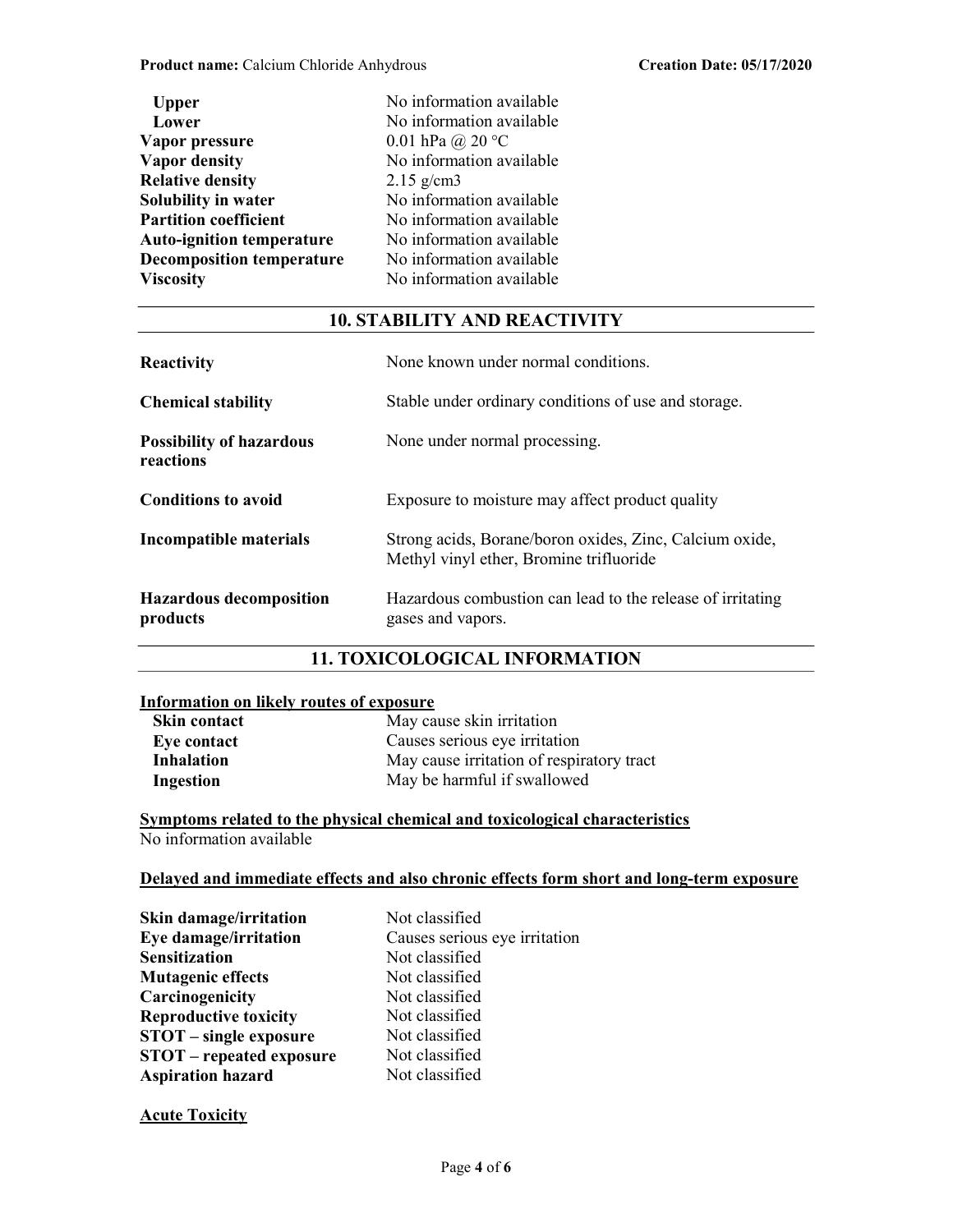| <b>Upper</b>                     | No information available  |
|----------------------------------|---------------------------|
| Lower                            | No information available  |
| Vapor pressure                   | 0.01 hPa @ 20 $\degree$ C |
| <b>Vapor density</b>             | No information available  |
| <b>Relative density</b>          | $2.15$ g/cm3              |
| Solubility in water              | No information available  |
| <b>Partition coefficient</b>     | No information available  |
| <b>Auto-ignition temperature</b> | No information available  |
| <b>Decomposition temperature</b> | No information available  |
| <b>Viscosity</b>                 | No information available  |

# 10. STABILITY AND REACTIVITY

| Reactivity                                   | None known under normal conditions.                                                                |
|----------------------------------------------|----------------------------------------------------------------------------------------------------|
| <b>Chemical stability</b>                    | Stable under ordinary conditions of use and storage.                                               |
| <b>Possibility of hazardous</b><br>reactions | None under normal processing.                                                                      |
| <b>Conditions to avoid</b>                   | Exposure to moisture may affect product quality                                                    |
| Incompatible materials                       | Strong acids, Borane/boron oxides, Zinc, Calcium oxide,<br>Methyl vinyl ether, Bromine trifluoride |
| <b>Hazardous decomposition</b><br>products   | Hazardous combustion can lead to the release of irritating<br>gases and vapors.                    |

# 11. TOXICOLOGICAL INFORMATION

# Information on likely routes of exposure

| <b>Skin contact</b> | May cause skin irritation                 |
|---------------------|-------------------------------------------|
| Eye contact         | Causes serious eye irritation             |
| Inhalation          | May cause irritation of respiratory tract |
| Ingestion           | May be harmful if swallowed               |

Symptoms related to the physical chemical and toxicological characteristics No information available

## Delayed and immediate effects and also chronic effects form short and long-term exposure

| <b>Skin damage/irritation</b>   | Not classified                |
|---------------------------------|-------------------------------|
| Eye damage/irritation           | Causes serious eye irritation |
| <b>Sensitization</b>            | Not classified                |
| <b>Mutagenic effects</b>        | Not classified                |
| Carcinogenicity                 | Not classified                |
| <b>Reproductive toxicity</b>    | Not classified                |
| <b>STOT</b> – single exposure   | Not classified                |
| <b>STOT</b> – repeated exposure | Not classified                |
| <b>Aspiration hazard</b>        | Not classified                |

# **Acute Toxicity**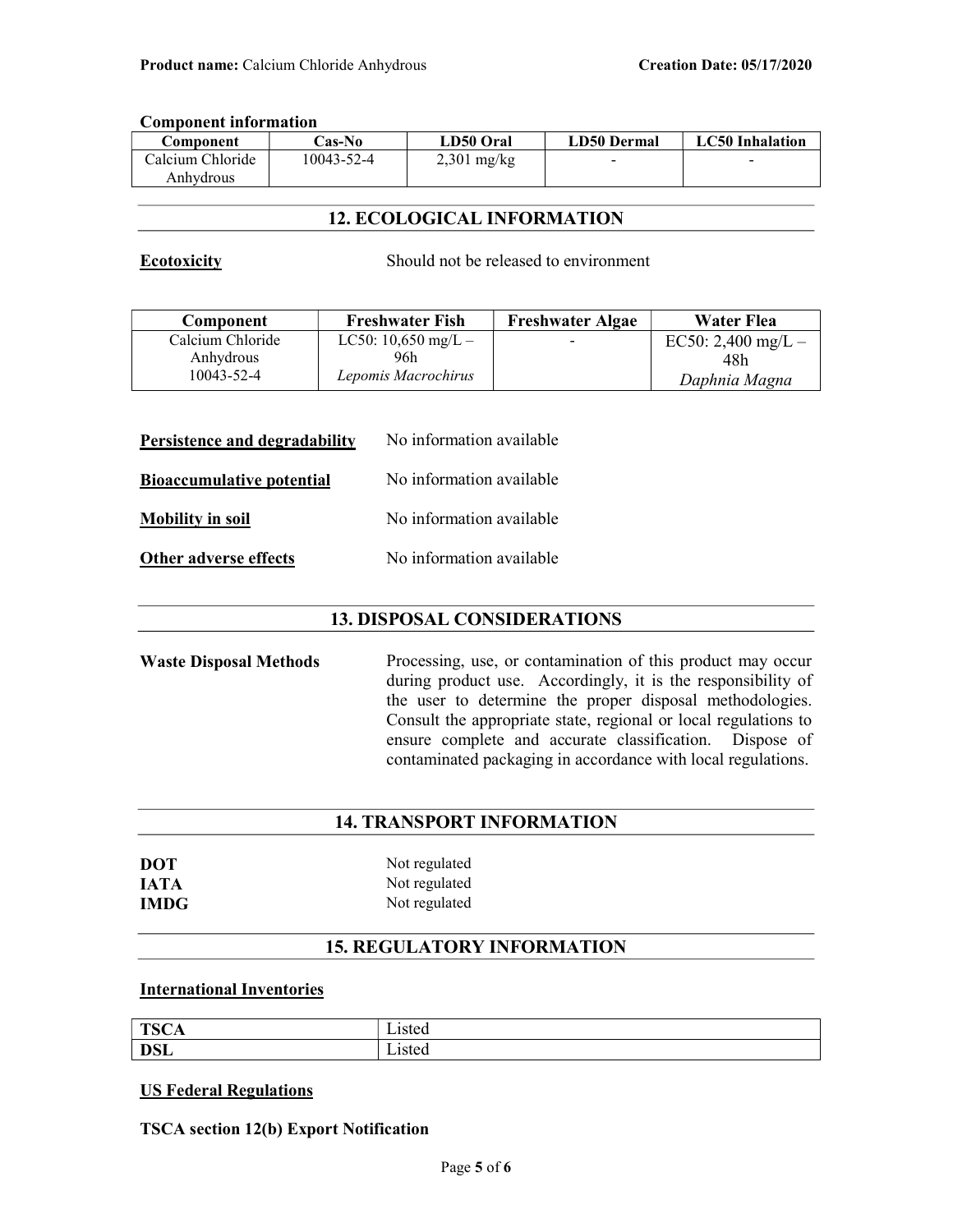#### Component information

| Component        | <b>Cas-No</b> | <b>LD50 Oral</b> | <b>LD50 Dermal</b>       | <b>LC50</b> Inhalation |
|------------------|---------------|------------------|--------------------------|------------------------|
| Calcium Chloride | 10043-52-4    | $2,301$ mg/kg    | $\overline{\phantom{a}}$ | -                      |
| Anhydrous        |               |                  |                          |                        |

# 12. ECOLOGICAL INFORMATION

Ecotoxicity Should not be released to environment

| Component        | <b>Freshwater Fish</b> | <b>Freshwater Algae</b> | Water Flea           |
|------------------|------------------------|-------------------------|----------------------|
| Calcium Chloride | LC50: 10,650 mg/L $-$  |                         | EC50: 2,400 mg/L $-$ |
| Anhydrous        | 96h                    |                         | 48h                  |
| 10043-52-4       | Lepomis Macrochirus    |                         | Daphnia Magna        |

| Persistence and degradability    | No information available |
|----------------------------------|--------------------------|
| <b>Bioaccumulative potential</b> | No information available |
| <b>Mobility in soil</b>          | No information available |
| Other adverse effects            | No information available |

# 13. DISPOSAL CONSIDERATIONS

Waste Disposal Methods Processing, use, or contamination of this product may occur during product use. Accordingly, it is the responsibility of the user to determine the proper disposal methodologies. Consult the appropriate state, regional or local regulations to ensure complete and accurate classification. Dispose of contaminated packaging in accordance with local regulations.

# 14. TRANSPORT INFORMATION

| <b>DOT</b>  | Not regulated |
|-------------|---------------|
| <b>IATA</b> | Not regulated |
| <b>IMDG</b> | Not regulated |

# 15. REGULATORY INFORMATION

#### International Inventories

| TCC<br>◡▴<br>ᆂ    | 1012c         |
|-------------------|---------------|
| Det<br><b>DOD</b> | 1012<br>usica |

# US Federal Regulations

TSCA section 12(b) Export Notification